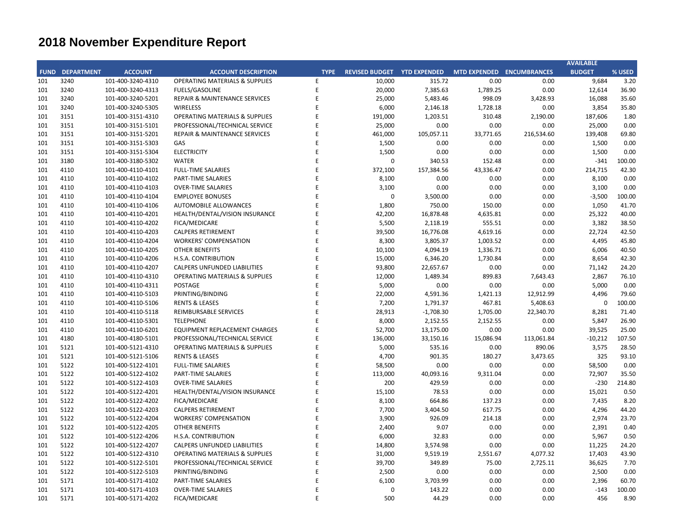## **CITY OF RANCHO PALOS VERDES SUMMARY OF EXPENDITURES - ALL FUNDS November 30, 2019**

|             |                                                                                                                            |                       | FY 2019-20         |                    |                      |             | FY 2018-19           |                          |            |
|-------------|----------------------------------------------------------------------------------------------------------------------------|-----------------------|--------------------|--------------------|----------------------|-------------|----------------------|--------------------------|------------|
| <b>FUND</b> | <b>FUND DESCRIPTION</b>                                                                                                    | <b>REVISED BUDGET</b> | <b>YTD ACTUALS</b> | <b>YTD ENCUMB.</b> | <b>YTD ACTUALS +</b> | <b>USED</b> | <b>YTD ACTUALS +</b> | YEAR OVER YEAR CHANGE    |            |
|             | <b>GENERAL FUND</b>                                                                                                        |                       |                    |                    | <b>ENCUMB.</b>       |             | <b>ENCUMB.</b>       | <b>ACTUALS + ENCUMB.</b> |            |
| <b>101</b>  |                                                                                                                            |                       |                    |                    |                      |             |                      |                          |            |
|             | <b>CITY COUNCIL</b>                                                                                                        | \$<br>123,200         | \$<br>$35,853$ \$  | $5,000$ \$         | 40,853               | 33.2%       | \$<br>70,915         | ( \$30,061)              | $-42.4%$   |
|             | <b>LEGAL SERVICES</b>                                                                                                      | 925,000               | 407,565            | $\mathbf 0$        | 407,565              | 44.1%       | 421,908              | (14, 343)                | $-3.4%$    |
|             | <b>CITY CLERK</b><br>711,100<br>778,000<br><b>CITY MANAGER</b>                                                             |                       | 202,090            | 3,740              | 205,830              | 28.9%       | 171,685              | 34,146                   | 19.9%      |
|             |                                                                                                                            |                       | 268,104            | 236                | 268,341              | 34.5%       | 378,205              | (109, 864)               | $-29.0%$   |
|             | 493,300<br><b>CITY ADMINISTRATION</b><br>428,526<br><b>HUMAN RESOURCES</b><br>1,197,689<br><b>INFORMATION TECHNOLOGIES</b> |                       | 90,508             | 83,563             | 174,071              | 35.3%       | 204,590              | (30,519)                 | $-14.9%$   |
|             |                                                                                                                            |                       | 139,000            | 27,617             | 166,617              | 38.9%       | 150,108              | 16,509                   | 11.0%      |
|             |                                                                                                                            |                       | 427,487            | 220,013            | 647,500              | 54.1%       | 759,373              | (111, 873)               | $-14.7%$   |
|             | 1,641,362<br><b>FINANCE</b>                                                                                                |                       | 681,932            | 53,775             | 735,707              | 44.8%       | 620,441              | 115,266                  | 18.6%      |
|             | <b>PUBLIC WORKS</b><br>6,526,060<br>3,814,848                                                                              |                       | 1,764,261          | 2,155,350          | 3,919,610            | 60.1%       | 3,064,622            | 854,989                  | 27.9%      |
|             | <b>COMMUNITY DEVELOPMENT</b>                                                                                               |                       | 1,118,926          | 556,858            | 1,675,785            | 43.9%       | 1,825,217            | (149, 432)               | $-8.2%$    |
|             | <b>RECREATIONAL &amp; PARKS</b>                                                                                            | 2,884,875             | 1,052,667          | 69,142             | 1,121,809            | 38.9%       | 1,147,655            | (25, 846)                | $-2.3%$    |
|             | <b>PUBLIC SAFETY</b>                                                                                                       | 7,397,700             | 2,489,900          | 4,280,871          | 6,770,771            | 91.5%       | 7,633,817            | (863,046)                | $-11.3%$   |
|             | NON-DEPARTMENTAL                                                                                                           | 1,316,761             | 478,999            | 100,018            | 579,017              | 44.0%       | 436,922              | 142,095                  | 32.5%      |
|             | <b>TRANSFERS OUT</b>                                                                                                       | 4,116,900             | 1,029,225          | $\mathbf 0$        | 1,029,225            | 25.0%       | 1,141,175            | (111,950)                | $-9.8%$    |
|             | <b>TOTAL GENERAL FUND</b>                                                                                                  | 32,355,320            | 10,186,519         | 7,556,181          | 17,742,700           | 54.8%       | 18,026,631           | (283, 931)               | $-1.6%$    |
|             |                                                                                                                            |                       |                    |                    |                      |             |                      |                          |            |
| <b>200</b>  | <b>SPECIAL REVENUE FUNDS</b>                                                                                               |                       |                    |                    |                      |             |                      |                          |            |
|             | 202 STREET MAINTENANCE                                                                                                     | 2,586,800             | 376,961            | 472,311            | 849,272              | 32.8%       | 1,387,366            | (538,094)                | $-38.8%$   |
|             | 203 1972 ACT LANDSCAPING & LIGHTING                                                                                        | 0                     | $\mathbf{0}$       | $\Omega$           | 0                    | 0.0%        | $\overline{0}$       | $\mathbf{0}$             | 0.0%       |
|             | 209 EL PRADO LIGHTING DISTRICT                                                                                             | 800                   | $\mathbf 0$        | $\mathbf 0$        | 0                    | 0.0%        | 625                  | (625)                    | $-100.0\%$ |
|             | 211 1911 ACT STREET LIGHTING                                                                                               | 884,390               | 130,241            | 566,757            | 696,998              | 78.8%       | 1,754,873            | (1,057,875)              | $-60.3%$   |
|             | 212 BEAUTIFICATION                                                                                                         | 0                     | $\mathbf 0$        | 0                  | 0                    | 0.0%        | 314,937              | (314, 937)               | $-100.0\%$ |
|             | 213 WASTE REDUCTION                                                                                                        | 304,100               | 91,228             | 87,628             | 178,856              | 58.8%       | 164,185              | 14,672                   | 8.9%       |
|             | 214 AIR QUALITY MANAGEMENT                                                                                                 | 50,000                | $\mathbf 0$        | $\boldsymbol{0}$   | 0                    | 0.0%        | 50,000               | (50,000)                 | $-100.0\%$ |
|             | 215 PROPOSITION C                                                                                                          | 687,181               | 20,702             | 666,479            | 687,181              | 100.0%      | 138,000              | 549,181                  | 398.0%     |
|             | 216 PROPOSITION A                                                                                                          | 1,205,952             | 11,687             | 33,769             | 45,456               | 3.8%        | 729,114              | (683, 658)               | $-93.8%$   |
|             | 217 PUBLIC SAFETY GRANTS                                                                                                   | 175,000               | 43,750             | $\mathbf 0$        | 43,750               | 25.0%       | 32,500               | 11,250                   | 34.6%      |
|             | 220 MEASURE R                                                                                                              | 813,705               | 12,605             | 351,065            | 363,669              | 44.7%       | 303,711              | 59,959                   | 19.7%      |
|             | 221 MEASURE M                                                                                                              | 536,000               | 217,077            | 317,923            | 535,000              | 99.8%       | 607,597              | (72, 597)                | $-11.9%$   |
|             | 222 HABITAT RESTORATION                                                                                                    | 179,500               | 76,619             | 102,878            | 179,497              | 100.0%      | 149,500              | 29,997                   | 20.1%      |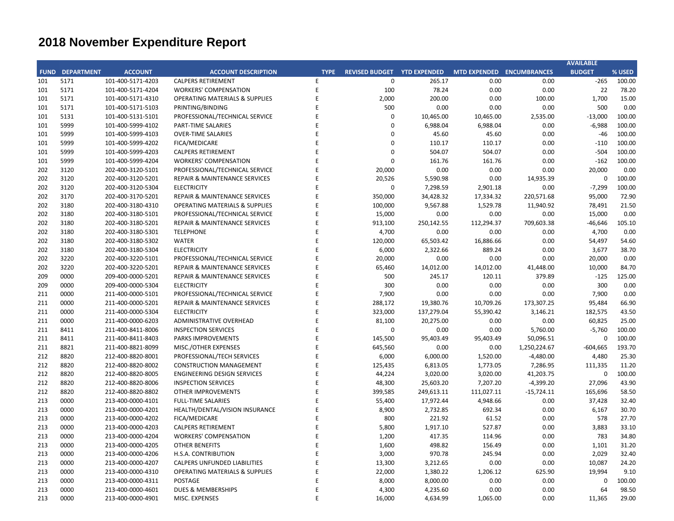## **CITY OF RANCHO PALOS VERDES SUMMARY OF EXPENDITURES - ALL FUNDS November 30, 2019**

|             |                                              |                       |                    | FY 2019-20                                                   |              |             | FY 2018-19                             |                                                   |            |
|-------------|----------------------------------------------|-----------------------|--------------------|--------------------------------------------------------------|--------------|-------------|----------------------------------------|---------------------------------------------------|------------|
| <b>FUND</b> | <b>FUND DESCRIPTION</b>                      | <b>REVISED BUDGET</b> | <b>YTD ACTUALS</b> | <b>YTD ACTUALS +</b><br><b>YTD ENCUMB.</b><br><b>ENCUMB.</b> |              | <b>USED</b> | <b>YTD ACTUALS +</b><br><b>ENCUMB.</b> | YEAR OVER YEAR CHANGE<br><b>ACTUALS + ENCUMB.</b> |            |
| 223         | <b>SUBREGION ONE MAINTENANCE</b>             | 46,800                | 16,085             | 16,570                                                       | 32,655       | 69.8%       | 38,499                                 | (5,844)                                           | $-15.2%$   |
| 224         | <b>MEASURE A MAINTENANCE</b>                 | 100,000               | 25,000             | $\mathbf 0$                                                  | 25,000       | 25.0%       | 22,500                                 | 2,500                                             | 11.1%      |
| <b>225</b>  | ABALONE COVE SEWER DISTRICT                  | 648,100               | 23,868             | 30,434                                                       | 54,301       | 8.4%        | 14,624                                 | 39,678                                            | 271.3%     |
| 227         | GINSBERG CULTURAL ARTS BLDG.                 | $\pmb{0}$             | $\mathbf 0$        | $\mathbf 0$                                                  | $\mathbf 0$  | 0.0%        | $\mathbf 0$                            | $\mathbf 0$                                       | 0.0%       |
| 228         | DONOR RESTRICTED CONTRIBUTIONS               | 32,331                | 5,037              | 18,144                                                       | 23,181       | 71.7%       | 169,388                                | (146, 207)                                        | $-86.3%$   |
|             | <b>TOTAL SPECIAL REVENUE FUNDS</b>           | 8,250,659             | 1,050,860          | 2,663,958                                                    | 3,714,818    | 45.0%       | 5,877,418                              | (2, 162, 601)                                     | $-36.8%$   |
|             |                                              |                       |                    |                                                              |              |             |                                        |                                                   |            |
| <b>300</b>  | <b>CAPITAL PROJECTS FUNDS</b>                |                       |                    |                                                              |              |             |                                        |                                                   |            |
|             | 310 COMMUNITY DEVELOPMENT BLOCK GRANT (CDBG) | 280,498               | 31,615             | 129,646                                                      | 161,261      | 57.5%       | 67,320                                 | 93,941                                            | 139.5%     |
| 330         | <b>INFRASTRUCTURE IMPROVEMENTS</b>           | 12,312,909            | 1,000,100          | 4,867,860                                                    | 5,867,960    | 47.7%       | 6,287,756                              | (419, 796)                                        | $-6.7%$    |
| 331         | <b>FEDERAL GRANTS</b>                        | $\mathbf 0$           | 0                  | $\mathbf 0$                                                  | $\mathbf 0$  | 0.0%        | 79,000                                 | (79,000)                                          | $-100.0\%$ |
|             | 332 STATE GRANTS                             | 563,665               | 46,464             | 450,314                                                      | 496,778      | 88.1%       | 144,320                                | 352,458                                           | 244.2%     |
| -334        | <b>QUIMBY PARK DEVELOPMENT</b>               | 862,341               | 471,521            | 391,185                                                      | 862,706      | 100.0%      | 6,568                                  | 856,138                                           | 13035.6%   |
| 336         | LOW-MODERATE INCOME HOUSING                  | $\mathbf 0$           | $\mathbf 0$        | $\mathbf 0$                                                  | $\mathbf 0$  | 0.0%        | $\mathbf 0$                            | $\mathbf 0$                                       | 0.0%       |
| -337        | AFFORDABLE HOUSING PROJECTS                  | $\mathbf 0$           | 0                  | $\mathbf 0$                                                  | $\mathbf 0$  | 0.0%        | 0                                      | $\mathbf 0$                                       | 0.0%       |
| 338         | DEVELOPMENT IMPACT MITIGATION (EET)          | 310,000               | 48,513             | 256,271                                                      | 304,784      | 98.3%       | $\mathbf{0}$                           | 304,784                                           | 0.0%       |
|             | 340 BICYCLE & PEDESTRIAN ACCESS              | $\pmb{0}$             | 0                  | $\mathbf 0$                                                  | $\mathbf 0$  | 0.0%        | $\mathbf 0$                            | $\mathbf 0$                                       | 0.0%       |
|             | <b>TOTAL CAPITAL PROJECTS FUNDS</b>          | 14,329,413            | 1,598,212          | 6,095,276                                                    | 7,693,488    | 53.7%       | 6,584,963                              | 1,108,525                                         | 16.8%      |
| 500         | <b>ENTERPRISE FUNDS</b>                      |                       |                    |                                                              |              |             |                                        |                                                   |            |
|             | 501 WATER QUALITY FLOOD PROTECTION           | 0                     | 0                  | $\mathbf 0$                                                  | $\mathbf 0$  | 0.0%        | $\mathbf 0$                            | $\mathbf 0$                                       | 0.0%       |
|             | <b>TOTAL ENTERPRISE FUNDS</b>                | $\mathbf{0}$          | $\mathbf{0}$       | $\bf{0}$                                                     | $\mathbf{0}$ | 0.0%        | $\mathbf{0}$                           | $\mathbf{0}$                                      | 0.0%       |
|             |                                              |                       |                    |                                                              |              |             |                                        |                                                   |            |
| 600         | <b>INTERNAL SERVICE FUND</b>                 |                       |                    |                                                              |              |             |                                        |                                                   |            |
|             | 681 EQUIPMENT REPLACEMENT                    | 865,973               | 36,490             | 236,790                                                      | 273,280      | 31.6%       | 239,643                                | 33,637                                            | 14.0%      |
|             | 685 EMPLOYEE BENEFITS                        | $\mathbf 0$           | $\mathbf 0$        | $\mathbf 0$                                                  | $\mathbf 0$  | 0.0%        | $\mathbf 0$                            | $\overline{0}$                                    | 0.0%       |
|             | <b>TOTAL INTERNAL SERVICE FUNDS</b>          | 865,973               | 36,490             | 236,790                                                      | 273,280      | 31.6%       | 239,643                                | 33,637                                            | 14.0%      |
|             | <b>REDEVELOPMENT AGENCY</b>                  |                       |                    |                                                              |              |             |                                        |                                                   |            |
| 701         | <b>REDEVELOPMENT OBLIGATION</b>              | ი                     | 258                | $\mathbf 0$                                                  | 258          | 0.0%        | 1,916                                  | (1,659)                                           | $-86.6%$   |
|             | <b>TOTAL REDEVELOPMENT AGENCY</b>            | $\mathbf{0}$          | 258                | $\boldsymbol{0}$                                             | 258          | 0.0%        | 1,916                                  | (1,659)                                           | $-86.6%$   |